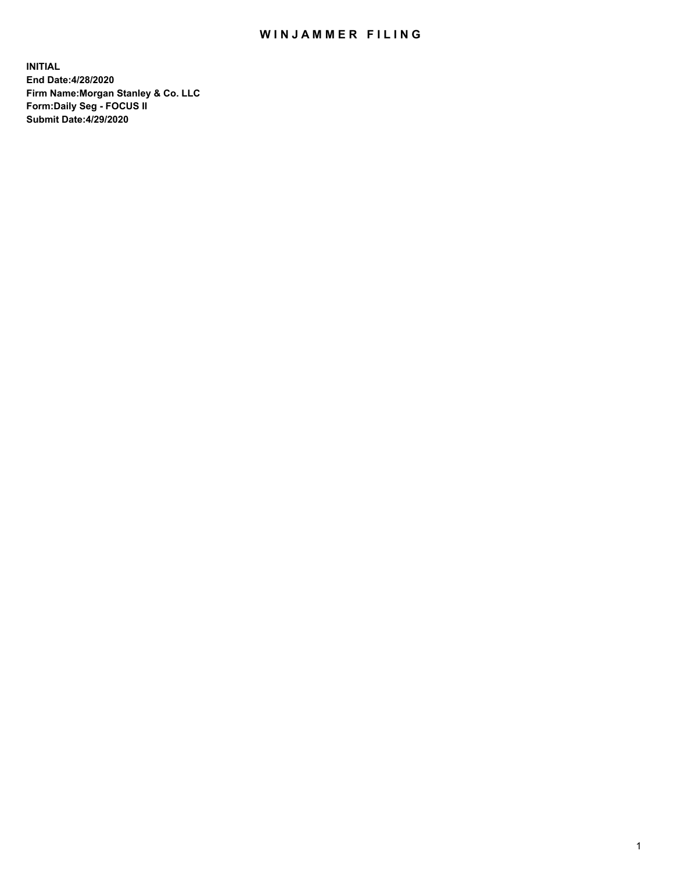## WIN JAMMER FILING

**INITIAL End Date:4/28/2020 Firm Name:Morgan Stanley & Co. LLC Form:Daily Seg - FOCUS II Submit Date:4/29/2020**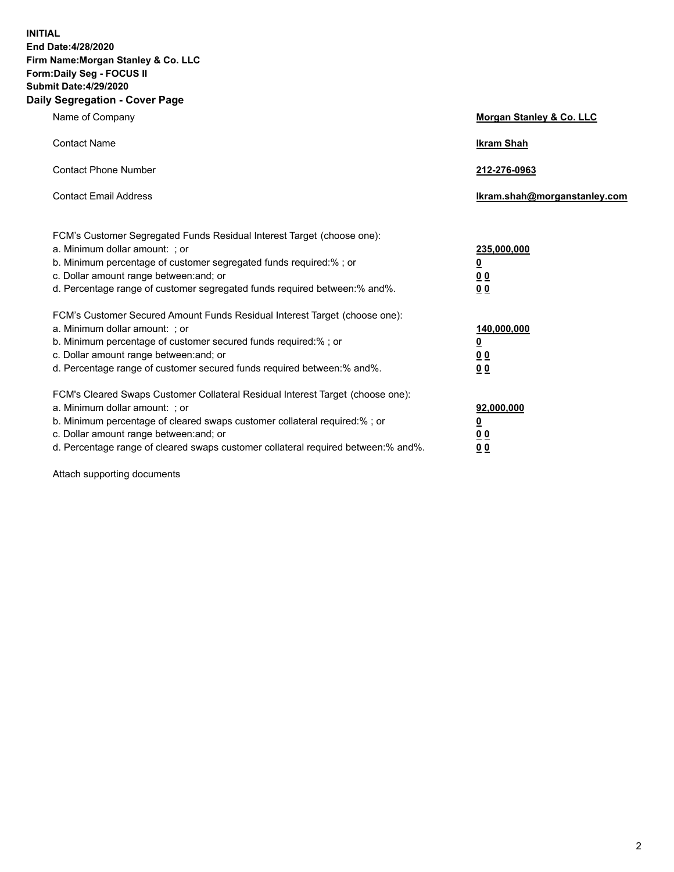**INITIAL End Date:4/28/2020 Firm Name:Morgan Stanley & Co. LLC Form:Daily Seg - FOCUS II Submit Date:4/29/2020 Daily Segregation - Cover Page**

| Name of Company                                                                                                                                                                                                                                                                                                                | Morgan Stanley & Co. LLC                                |
|--------------------------------------------------------------------------------------------------------------------------------------------------------------------------------------------------------------------------------------------------------------------------------------------------------------------------------|---------------------------------------------------------|
| <b>Contact Name</b>                                                                                                                                                                                                                                                                                                            | <b>Ikram Shah</b>                                       |
| <b>Contact Phone Number</b>                                                                                                                                                                                                                                                                                                    | 212-276-0963                                            |
| <b>Contact Email Address</b>                                                                                                                                                                                                                                                                                                   | Ikram.shah@morganstanley.com                            |
| FCM's Customer Segregated Funds Residual Interest Target (choose one):<br>a. Minimum dollar amount: ; or<br>b. Minimum percentage of customer segregated funds required:% ; or<br>c. Dollar amount range between: and; or<br>d. Percentage range of customer segregated funds required between:% and%.                         | 235,000,000<br><u>0</u><br><u>00</u><br><u>00</u>       |
| FCM's Customer Secured Amount Funds Residual Interest Target (choose one):<br>a. Minimum dollar amount: ; or<br>b. Minimum percentage of customer secured funds required:%; or<br>c. Dollar amount range between: and; or<br>d. Percentage range of customer secured funds required between:% and%.                            | 140,000,000<br><u>0</u><br><u>0 0</u><br>0 <sub>0</sub> |
| FCM's Cleared Swaps Customer Collateral Residual Interest Target (choose one):<br>a. Minimum dollar amount: ; or<br>b. Minimum percentage of cleared swaps customer collateral required:% ; or<br>c. Dollar amount range between: and; or<br>d. Percentage range of cleared swaps customer collateral required between:% and%. | 92,000,000<br><u>0</u><br><u>00</u><br>00               |

Attach supporting documents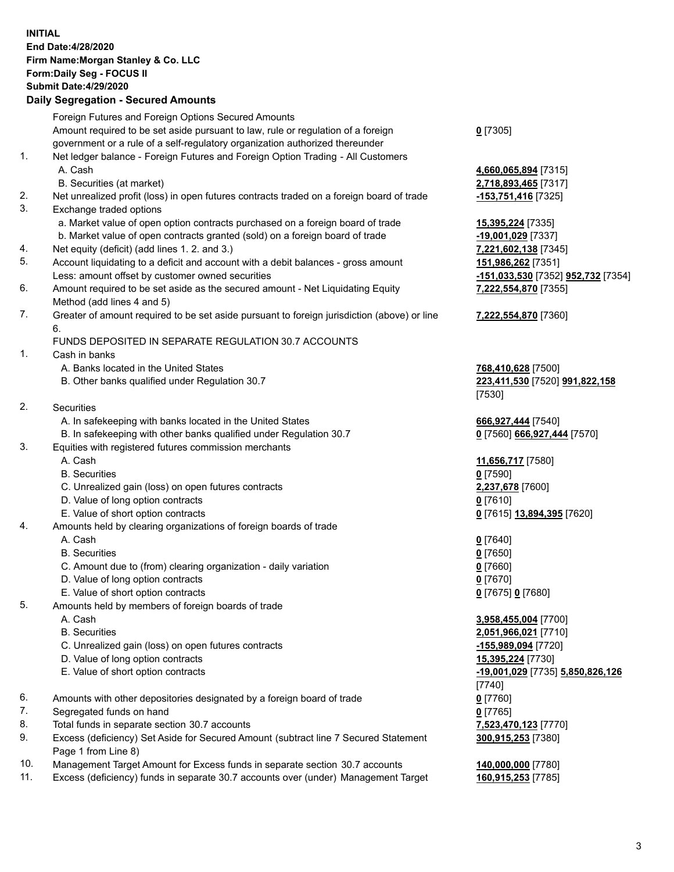## **INITIAL End Date:4/28/2020 Firm Name:Morgan Stanley & Co. LLC Form:Daily Seg - FOCUS II Submit Date:4/29/2020**

## **Daily Segregation - Secured Amounts**

|     | Foreign Futures and Foreign Options Secured Amounts                                                        |                                                  |
|-----|------------------------------------------------------------------------------------------------------------|--------------------------------------------------|
|     | Amount required to be set aside pursuant to law, rule or regulation of a foreign                           | $0$ [7305]                                       |
|     | government or a rule of a self-regulatory organization authorized thereunder                               |                                                  |
| 1.  | Net ledger balance - Foreign Futures and Foreign Option Trading - All Customers                            |                                                  |
|     | A. Cash                                                                                                    | 4,660,065,894 [7315]                             |
|     | B. Securities (at market)                                                                                  | 2,718,893,465 [7317]                             |
| 2.  | Net unrealized profit (loss) in open futures contracts traded on a foreign board of trade                  | $-153,751,416$ [7325]                            |
| 3.  | Exchange traded options                                                                                    |                                                  |
|     | a. Market value of open option contracts purchased on a foreign board of trade                             | 15,395,224 [7335]                                |
|     | b. Market value of open contracts granted (sold) on a foreign board of trade                               | -19,001,029 [7337]                               |
| 4.  | Net equity (deficit) (add lines 1. 2. and 3.)                                                              | 7,221,602,138 [7345]                             |
| 5.  | Account liquidating to a deficit and account with a debit balances - gross amount                          | 151,986,262 [7351]                               |
|     | Less: amount offset by customer owned securities                                                           | <u>-151,033,530</u> [7352] <b>952,732</b> [7354] |
| 6.  | Amount required to be set aside as the secured amount - Net Liquidating Equity                             | 7,222,554,870 [7355]                             |
|     | Method (add lines 4 and 5)                                                                                 |                                                  |
| 7.  | Greater of amount required to be set aside pursuant to foreign jurisdiction (above) or line<br>6.          | 7,222,554,870 [7360]                             |
|     | FUNDS DEPOSITED IN SEPARATE REGULATION 30.7 ACCOUNTS                                                       |                                                  |
| 1.  | Cash in banks                                                                                              |                                                  |
|     | A. Banks located in the United States                                                                      | 768,410,628 [7500]                               |
|     | B. Other banks qualified under Regulation 30.7                                                             | 223,411,530 [7520] 991,822,158                   |
|     |                                                                                                            | [7530]                                           |
| 2.  | <b>Securities</b>                                                                                          |                                                  |
|     | A. In safekeeping with banks located in the United States                                                  | 666,927,444 [7540]                               |
|     | B. In safekeeping with other banks qualified under Regulation 30.7                                         | 0 [7560] 666,927,444 [7570]                      |
| 3.  | Equities with registered futures commission merchants                                                      |                                                  |
|     | A. Cash                                                                                                    | 11,656,717 [7580]                                |
|     | <b>B.</b> Securities                                                                                       | $0$ [7590]                                       |
|     | C. Unrealized gain (loss) on open futures contracts                                                        | 2,237,678 [7600]                                 |
|     | D. Value of long option contracts                                                                          | $0$ [7610]                                       |
|     | E. Value of short option contracts                                                                         | 0 [7615] 13,894,395 [7620]                       |
| 4.  | Amounts held by clearing organizations of foreign boards of trade                                          |                                                  |
|     | A. Cash                                                                                                    | $0$ [7640]                                       |
|     | <b>B.</b> Securities                                                                                       | $0$ [7650]                                       |
|     | C. Amount due to (from) clearing organization - daily variation                                            | $0$ [7660]                                       |
|     | D. Value of long option contracts                                                                          | $0$ [7670]                                       |
|     | E. Value of short option contracts                                                                         | 0 [7675] 0 [7680]                                |
| 5.  | Amounts held by members of foreign boards of trade                                                         |                                                  |
|     | A. Cash                                                                                                    | 3,958,455,004 [7700]                             |
|     | <b>B.</b> Securities                                                                                       | 2,051,966,021 [7710]                             |
|     | C. Unrealized gain (loss) on open futures contracts                                                        | $-155,989,094$ [7720]                            |
|     | D. Value of long option contracts                                                                          | 15,395,224 [7730]                                |
|     | E. Value of short option contracts                                                                         | -19,001,029 [7735] 5,850,826,126                 |
|     |                                                                                                            | $[7740]$                                         |
| 6.  | Amounts with other depositories designated by a foreign board of trade                                     | $0$ [7760]                                       |
| 7.  | Segregated funds on hand                                                                                   | $0$ [7765]                                       |
| 8.  | Total funds in separate section 30.7 accounts                                                              | 7,523,470,123 [7770]                             |
| 9.  | Excess (deficiency) Set Aside for Secured Amount (subtract line 7 Secured Statement<br>Page 1 from Line 8) | 300,915,253 [7380]                               |
| 10. | Management Target Amount for Excess funds in separate section 30.7 accounts                                | 140,000,000 [7780]                               |

11. Excess (deficiency) funds in separate 30.7 accounts over (under) Management Target **160,915,253** [7785]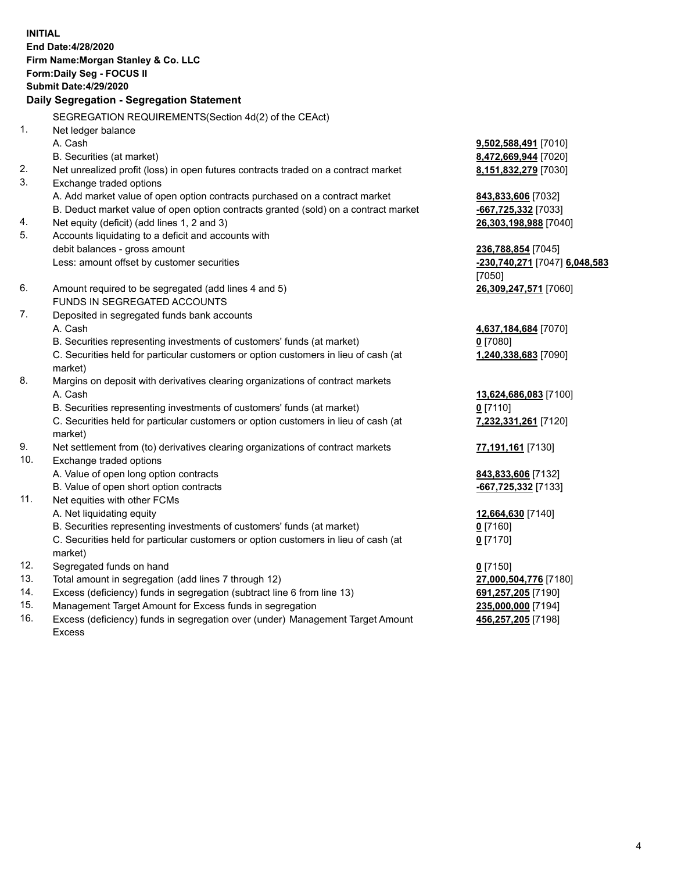**INITIAL End Date:4/28/2020 Firm Name:Morgan Stanley & Co. LLC Form:Daily Seg - FOCUS II Submit Date:4/29/2020 Daily Segregation - Segregation Statement** SEGREGATION REQUIREMENTS(Section 4d(2) of the CEAct) 1. Net ledger balance A. Cash **9,502,588,491** [7010] B. Securities (at market) **8,472,669,944** [7020] 2. Net unrealized profit (loss) in open futures contracts traded on a contract market **8,151,832,279** [7030] 3. Exchange traded options A. Add market value of open option contracts purchased on a contract market **843,833,606** [7032] B. Deduct market value of open option contracts granted (sold) on a contract market **-667,725,332** [7033] 4. Net equity (deficit) (add lines 1, 2 and 3) **26,303,198,988** [7040] 5. Accounts liquidating to a deficit and accounts with debit balances - gross amount **236,788,854** [7045] Less: amount offset by customer securities **-230,740,271** [7047] **6,048,583** [7050] 6. Amount required to be segregated (add lines 4 and 5) **26,309,247,571** [7060] FUNDS IN SEGREGATED ACCOUNTS 7. Deposited in segregated funds bank accounts A. Cash **4,637,184,684** [7070] B. Securities representing investments of customers' funds (at market) **0** [7080] C. Securities held for particular customers or option customers in lieu of cash (at market) **1,240,338,683** [7090] 8. Margins on deposit with derivatives clearing organizations of contract markets A. Cash **13,624,686,083** [7100] B. Securities representing investments of customers' funds (at market) **0** [7110] C. Securities held for particular customers or option customers in lieu of cash (at market) **7,232,331,261** [7120] 9. Net settlement from (to) derivatives clearing organizations of contract markets **77,191,161** [7130] 10. Exchange traded options A. Value of open long option contracts **843,833,606** [7132] B. Value of open short option contracts **-667,725,332** [7133] 11. Net equities with other FCMs A. Net liquidating equity **12,664,630** [7140] B. Securities representing investments of customers' funds (at market) **0** [7160] C. Securities held for particular customers or option customers in lieu of cash (at market) **0** [7170] 12. Segregated funds on hand **0** [7150] 13. Total amount in segregation (add lines 7 through 12) **27,000,504,776** [7180] 14. Excess (deficiency) funds in segregation (subtract line 6 from line 13) **691,257,205** [7190]

- 15. Management Target Amount for Excess funds in segregation **235,000,000** [7194]
- 16. Excess (deficiency) funds in segregation over (under) Management Target Amount Excess

**456,257,205** [7198]